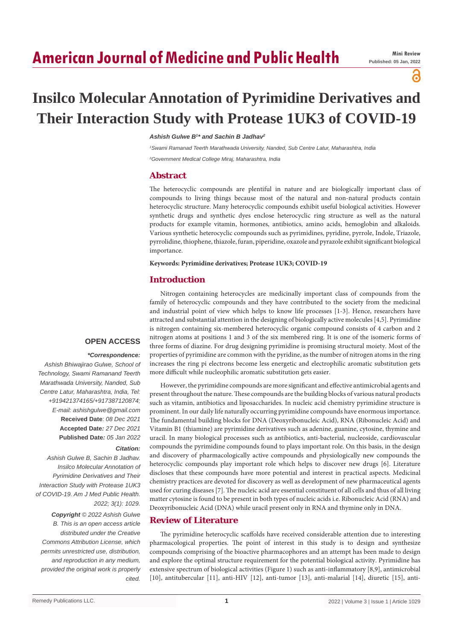# **American Journal of Medicine and Public Health**

# ဥ

# **Insilco Molecular Annotation of Pyrimidine Derivatives and Their Interaction Study with Protease 1UK3 of COVID-19**

#### Ashish Gulwe B<sup>1\*</sup> and Sachin B Jadhav<sup>2</sup>

*1 Swami Ramanad Teerth Marathwada University, Nanded, Sub Centre Latur, Maharashtra, India 2 Government Medical College Miraj, Maharashtra, India*

## **Abstract**

The heterocyclic compounds are plentiful in nature and are biologically important class of compounds to living things because most of the natural and non-natural products contain heterocyclic structure. Many heterocyclic compounds exhibit useful biological activities. However synthetic drugs and synthetic dyes enclose heterocyclic ring structure as well as the natural products for example vitamin, hormones, antibiotics, amino acids, hemoglobin and alkaloids. Various synthetic heterocyclic compounds such as pyrimidines, pyridine, pyrrole, Indole, Triazole, pyrrolidine, thiophene, thiazole, furan, piperidine, oxazole and pyrazole exhibit significant biological importance.

#### **Keywords: Pyrimidine derivatives; Protease 1UK3; COVID-19**

## **Introduction**

Nitrogen containing heterocycles are medicinally important class of compounds from the family of heterocyclic compounds and they have contributed to the society from the medicinal and industrial point of view which helps to know life processes [1-3]. Hence, researchers have attracted and substantial attention in the designing of biologically active molecules [4,5]. Pyrimidine is nitrogen containing six-membered heterocyclic organic compound consists of 4 carbon and 2 nitrogen atoms at positions 1 and 3 of the six membered ring. It is one of the isomeric forms of three forms of diazine. For drug designing pyrimidine is promising structural moiety. Most of the properties of pyrimidine are common with the pyridine, as the number of nitrogen atoms in the ring increases the ring pi electrons become less energetic and electrophilic aromatic substitution gets more difficult while nucleophilic aromatic substitution gets easier.

#### **OPEN ACCESS**

#### *\*Correspondence:*

*Ashish Bhiwajirao Gulwe, School of Technology, Swami Ramanand Teerth Marathwada University, Nanded, Sub Centre Latur, Maharashtra, India, Tel: +919421374165/+917387120874; E-mail: ashishgulwe@gmail.com* **Received Date**: *08 Dec 2021* **Accepted Date***: 27 Dec 2021* **Published Date***: 05 Jan 2022*

#### *Citation:*

*Ashish Gulwe B, Sachin B Jadhav. Insilco Molecular Annotation of Pyrimidine Derivatives and Their Interaction Study with Protease 1UK3 of COVID-19. Am J Med Public Health. 2022; 3(1): 1029.*

*Copyright © 2022 Ashish Gulwe B. This is an open access article distributed under the Creative Commons Attribution License, which permits unrestricted use, distribution, and reproduction in any medium, provided the original work is properly cited.*

However, the pyrimidine compounds are more significant and effective antimicrobial agents and present throughout the nature. These compounds are the building blocks of various natural products such as vitamin, antibiotics and liposaccharides. In nucleic acid chemistry pyrimidine structure is prominent. In our daily life naturally occurring pyrimidine compounds have enormous importance. The fundamental building blocks for DNA (Deoxyribonucleic Acid), RNA (Ribonucleic Acid) and Vitamin B1 (thiamine) are pyrimidine derivatives such as adenine, guanine, cytosine, thymine and uracil. In many biological processes such as antibiotics, anti-bacterial, nucleoside, cardiovascular compounds the pyrimidine compounds found to plays important role. On this basis, in the design and discovery of pharmacologically active compounds and physiologically new compounds the heterocyclic compounds play important role which helps to discover new drugs [6]. Literature discloses that these compounds have more potential and interest in practical aspects. Medicinal chemistry practices are devoted for discovery as well as development of new pharmaceutical agents used for curing diseases [7]. The nucleic acid are essential constituent of all cells and thus of all living matter cytosine is found to be present in both types of nucleic acids i.e. Ribonucleic Acid (RNA) and Deoxyribonucleic Acid (DNA) while uracil present only in RNA and thymine only in DNA.

# **Review of Literature**

The pyrimidine heterocyclic scaffolds have received considerable attention due to interesting pharmacological properties. The point of interest in this study is to design and synthesize compounds comprising of the bioactive pharmacophores and an attempt has been made to design and explore the optimal structure requirement for the potential biological activity. Pyrimidine has extensive spectrum of biological activities (Figure 1) such as anti-inflammatory [8,9], antimicrobial [10], antitubercular [11], anti-HIV [12], anti-tumor [13], anti-malarial [14], diuretic [15], anti-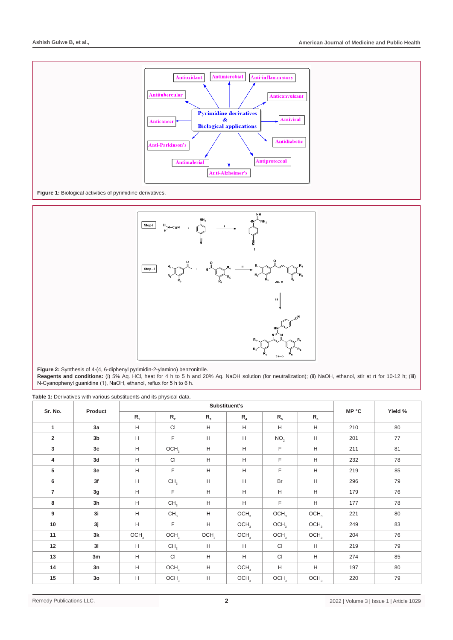



**Figure 2:** Synthesis of 4-(4, 6-diphenyl pyrimidin-2-ylamino) benzonitrile.

**Reagents and conditions:** (i) 5% Aq. HCl, heat for 4 h to 5 h and 20% Aq. NaOH solution (for neutralization); (ii) NaOH, ethanol, stir at rt for 10-12 h; (iii) N-Cyanophenyl guanidine (1), NaOH, ethanol, reflux for 5 h to 6 h.

| Sr. No.                 | Product        |                                                                   |                  |                  |                  |                  |                  |       |         |
|-------------------------|----------------|-------------------------------------------------------------------|------------------|------------------|------------------|------------------|------------------|-------|---------|
|                         |                | $R_{1}$                                                           | $R_{2}$          | $R_{3}$          | $R_{4}$          | $R_{5}$          | $R_{6}$          | MP °C | Yield % |
| $\mathbf{1}$            | 3a             | H                                                                 | CI               | H                | н                | H                | H                | 210   | 80      |
| $\overline{\mathbf{2}}$ | 3 <sub>b</sub> | H                                                                 | F                | H                | н                | NO <sub>2</sub>  | H                | 201   | 77      |
| 3                       | 3 <sub>c</sub> | H                                                                 | OCH <sub>3</sub> | H                | H                | F                | H                | 211   | 81      |
| 4                       | 3d             | H                                                                 | CI               | H                | H                | F                | H                | 232   | 78      |
| 5                       | 3e             | H                                                                 | F.               | H                | H                | F                | H                | 219   | 85      |
| 6                       | 3f             | H                                                                 | CH <sub>3</sub>  | H                | н                | Br               | H                | 296   | 79      |
| $\overline{7}$          | 3g             | H                                                                 | F                | H                | H                | H                | H                | 179   | 76      |
| 8                       | 3 <sub>h</sub> | H                                                                 | CH <sub>3</sub>  | H                | H                | F                | H                | 177   | 78      |
| 9                       | 3i             | Н                                                                 | CH <sub>3</sub>  | H                | OCH <sub>3</sub> | OCH <sub>3</sub> | OCH <sub>3</sub> | 221   | 80      |
| 10                      | 3j             | $\mathsf{H}% _{\mathsf{H}}^{\ast}=\mathsf{H}_{\mathsf{H}}^{\ast}$ | F                | H                | OCH <sub>3</sub> | OCH <sub>3</sub> | OCH <sub>3</sub> | 249   | 83      |
| 11                      | 3k             | OCH <sub>3</sub>                                                  | OCH <sub>3</sub> | OCH <sub>3</sub> | OCH <sub>3</sub> | OCH <sub>3</sub> | OCH <sub>3</sub> | 204   | 76      |
| 12                      | 31             | H                                                                 | CH <sub>3</sub>  | H                | H                | <b>CI</b>        | H                | 219   | 79      |
| 13                      | 3m             | H                                                                 | CI               | H                | н                | <b>CI</b>        | H                | 274   | 85      |
| 14                      | 3n             | H                                                                 | OCH <sub>3</sub> | H                | OCH <sub>3</sub> | H                | H                | 197   | 80      |
| 15                      | 3 <sub>o</sub> | H                                                                 | OCH <sub>3</sub> | H                | OCH <sub>3</sub> | OCH <sub>3</sub> | OCH <sub>3</sub> | 220   | 79      |